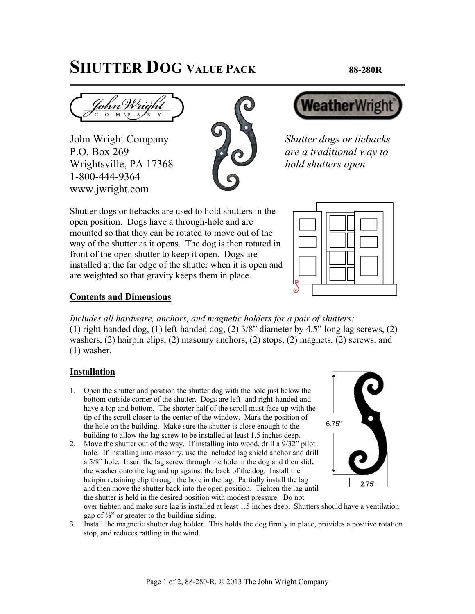## **SHUTTER DOG VALUE PACK 88-280R**

John Wright Company *Shutter dogs or tiebacks* P.O. Box 269 *are a traditional way to* Wrightsville, PA 17368 *hold shutters open.* 1-800-444-9364 www.jwright.com





Shutter dogs or tiebacks are used to hold shutters in the open position. Dogs have a through-hole and are mounted so that they can be rotated to move out of the way of the shutter as it opens. The dog is then rotated in front of the open shutter to keep it open. Dogs are installed at the far edge of the shutter when it is open and are weighted so that gravity keeps them in place.



## **Contents and Dimensions**

*Includes all hardware, anchors, and magnetic holders for a pair of shutters:*  (1) right-handed dog, (1) left-handed dog, (2) 3/8" diameter by 4.5" long lag screws, (2) washers, (2) hairpin clips, (2) masonry anchors, (2) stops, (2) magnets, (2) screws, and (1) washer.

## **Installation**

- 1. Open the shutter and position the shutter dog with the hole just below the bottom outside corner of the shutter. Dogs are left- and right-handed and have a top and bottom. The shorter half of the scroll must face up with the tip of the scroll closer to the center of the window. Mark the position of the hole on the building. Make sure the shutter is close enough to the building to allow the lag screw to be installed at least 1.5 inches deep.
- 2. Move the shutter out of the way. If installing into wood, drill a 9/32" pilot hole. If installing into masonry, use the included lag shield anchor and drill a 5/8" hole. Insert the lag screw through the hole in the dog and then slide the washer onto the lag and up against the back of the dog. Install the hairpin retaining clip through the hole in the lag. Partially install the lag and then move the shutter back into the open position. Tighten the lag until the shutter is held in the desired position with modest pressure. Do not



over tighten and make sure lag is installed at least 1.5 inches deep. Shutters should have a ventilation gap of  $\frac{1}{2}$ " or greater to the building siding.

3. Install the magnetic shutter dog holder. This holds the dog firmly in place, provides a positive rotation stop, and reduces rattling in the wind.